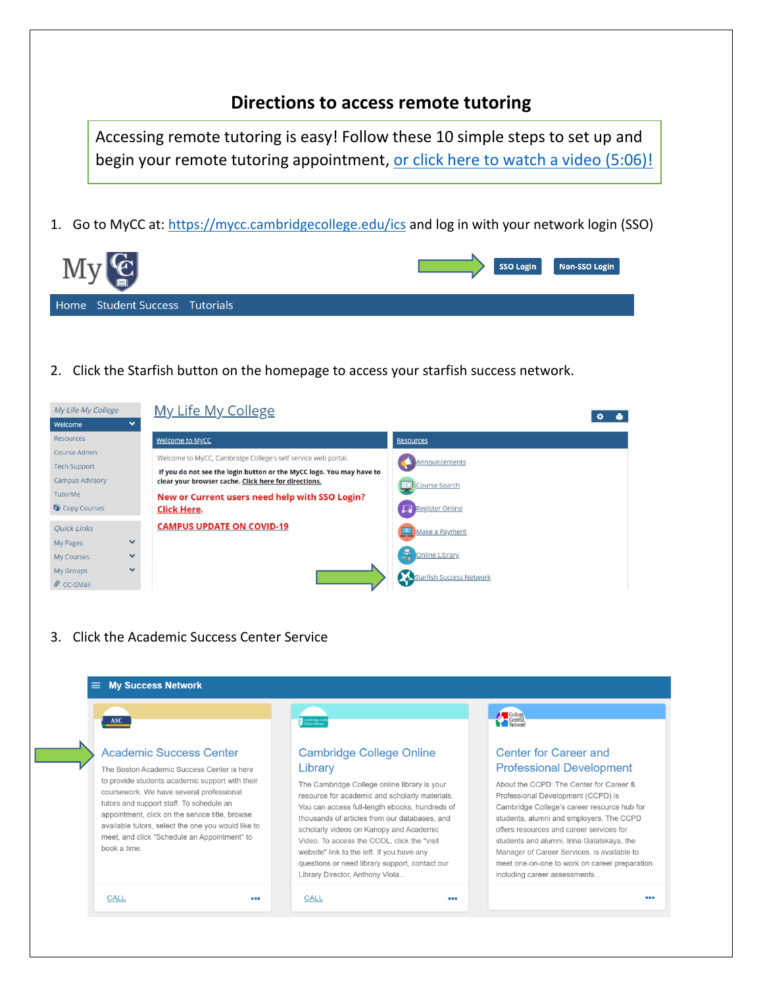## **Directions to access remote tutoring**

Accessing remote tutoring is easy! Follow these 10 simple steps to set up and begin your remote tutoring appointment, [or click here to watch a video](https://www.youtube.com/watch?v=C1szrdPXrbg) (5:06)!

1. Go to MyCC at:<https://mycc.cambridgecollege.edu/ics> and log in with your network login (SSO)

| $\mathbb{R}$ $\mathbb{R}$ $\mathbb{R}$ |  |  |  | <b>SSO Login</b> | Non-SSO Login |  |
|----------------------------------------|--|--|--|------------------|---------------|--|
| Home Student Success Tutorials         |  |  |  |                  |               |  |
|                                        |  |  |  |                  |               |  |

2. Click the Starfish button on the homepage to access your starfish success network.

| My Life My College         | My Life My College                                                   | ۰                        |
|----------------------------|----------------------------------------------------------------------|--------------------------|
| $\checkmark$<br>Welcome    |                                                                      |                          |
| <b>Resources</b>           | Welcome to MyCC                                                      | <b>Resources</b>         |
| Course Admin               | Welcome to MyCC, Cambridge College's self service web portal.        |                          |
| <b>Tech Support</b>        | If you do not see the login button or the MyCC logo. You may have to | Announcements            |
| <b>Campus Advisory</b>     | clear your browser cache. Click here for directions.                 | Course Search<br>$\circ$ |
| TutorMe                    | New or Current users need help with SSO Login?                       |                          |
| <b>G</b> Copy Courses      | <b>Click Here.</b>                                                   | <b>Register Online</b>   |
| <b>Ouick Links</b>         | <b>CAMPUS UPDATE ON COVID-19</b>                                     | Make a Payment           |
| $\checkmark$<br>My Pages   |                                                                      |                          |
| $\checkmark$<br>My Courses |                                                                      | R<br>Online Library      |
| $\checkmark$<br>My Groups  |                                                                      |                          |
| & CC-GMail                 |                                                                      | Starfish Success Network |

3. Click the Academic Success Center Service

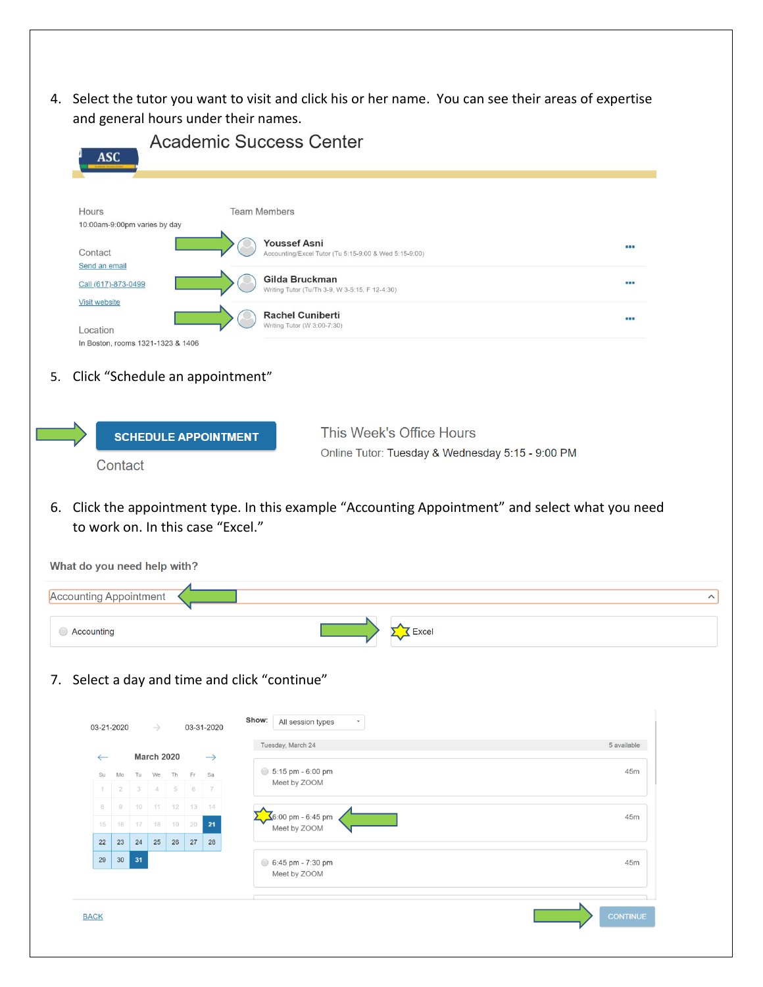4. Select the tutor you want to visit and click his or her name. You can see their areas of expertise and general hours under their names.

| Hours                                                                                | <b>Team Members</b>                                                                              |             |
|--------------------------------------------------------------------------------------|--------------------------------------------------------------------------------------------------|-------------|
| 10:00am-9:00pm varies by day                                                         | <b>Youssef Asni</b>                                                                              |             |
| Contact<br>Send an email                                                             | Accounting/Excel Tutor (Tu 5:15-9:00 & Wed 5:15-9:00)                                            |             |
| Call (617)-873-0499                                                                  | Gilda Bruckman                                                                                   |             |
| <b>Visit website</b>                                                                 | Writing Tutor (Tu/Th 3-9, W 3-5:15, F 12-4:30)                                                   |             |
| Location                                                                             | <b>Rachel Cuniberti</b><br>Writing Tutor (W 3:00-7:30)                                           |             |
| In Boston, rooms 1321-1323 & 1406                                                    |                                                                                                  |             |
| Click "Schedule an appointment"                                                      |                                                                                                  |             |
|                                                                                      | This Week's Office Hours                                                                         |             |
| <b>SCHEDULE APPOINTMENT</b>                                                          | Online Tutor: Tuesday & Wednesday 5:15 - 9:00 PM                                                 |             |
| Contact                                                                              |                                                                                                  |             |
|                                                                                      |                                                                                                  |             |
|                                                                                      |                                                                                                  |             |
| to work on. In this case "Excel."                                                    | 6. Click the appointment type. In this example "Accounting Appointment" and select what you need |             |
|                                                                                      |                                                                                                  |             |
|                                                                                      |                                                                                                  |             |
|                                                                                      |                                                                                                  |             |
| What do you need help with?<br><b>Accounting Appointment</b>                         |                                                                                                  |             |
| $\bigcirc$ Accounting                                                                | <b>K</b> Excel                                                                                   |             |
|                                                                                      |                                                                                                  |             |
|                                                                                      |                                                                                                  |             |
| 03-21-2020<br>$\rightarrow$<br>03-31-2020                                            | Show:<br>All session types<br>$\check{}$                                                         |             |
|                                                                                      | Tuesday, March 24                                                                                | 5 available |
| <b>March 2020</b><br>$\rightarrow$<br>$\leftarrow$                                   | $\circ$ 5:15 pm - 6:00 pm                                                                        | 45m         |
| We<br>Th<br>Fr<br>Su<br>Mo<br>Tu<br>Sa<br>5<br>6<br>2<br>3<br>4<br>$\tau$            | Meet by ZOOM                                                                                     |             |
| 10<br>$11 -$<br>12<br>13<br>8<br>9<br>14                                             |                                                                                                  |             |
| 17 18 19 20<br>16<br>21<br>15                                                        | 6:00 pm - 6:45 pm<br>Meet by ZOOM                                                                | 45m         |
| Select a day and time and click "continue"<br>22<br>23<br>24<br>25<br>26<br>27<br>28 |                                                                                                  |             |
| 29<br>$30\,$<br>31                                                                   | 6:45 pm - 7:30 pm<br>Meet by ZOOM                                                                | 45m         |